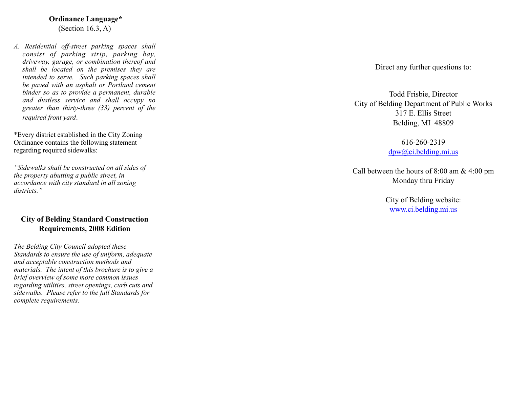#### **Ordinance Language\*** (Section 16.3, A)

*A. Residential off-street parking spaces shall consist of parking strip, parking bay, driveway, garage, or combination thereof and shall be located on the premises they are intended to serve. Such parking spaces shall be paved with an asphalt or Portland cement binder so as to provide a permanent, durable and dustless service and shall occupy no greater than thirty-three (33) percent of the required front yard* .

\*Every district established in the City Zoning Ordinance contains the following statement regarding required sidewalks:

*"Sidewalks shall be constructed on all sides of the property abutting a public street, in accordance with city standard in all zoning districts."*

#### **City of Belding Standard Construction Requirements, 2008 Edition**

*The Belding City Council adopted these Standards to ensure the use of uniform, adequate and acceptable construction methods and materials. The intent of this brochure is to give a brief overview of some more common issues regarding utilities, street openings, curb cuts and sidewalks. Please refer to the full Standards for complete requirements.*

Direct any further questions to:

Todd Frisbie, Director City of Belding Department of Public Works 317 E. Ellis Street Belding, MI 48809

> 616-260-2319 [dpw@ci.belding.mi.us](mailto:dpw@ci.belding.mi.us)

Call between the hours of 8:00 am & 4:00 pm Monday thru Friday

> City of Belding website: [www.ci.belding.mi.us](http://www.ci.belding.mi.us)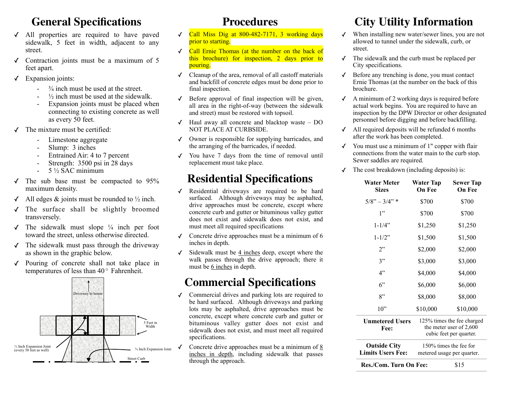### **General Specifications**

- ✓ All properties are required to have paved sidewalk, 5 feet in width, adjacent to any street.
- Contraction joints must be a maximum of 5 feet apart.
- ✓ Expansion joints:
	- $\frac{3}{4}$  inch must be used at the street.
	- $\frac{1}{2}$  inch must be used at the sidewalk.
	- Expansion joints must be placed when connecting to existing concrete as well as every 50 feet.
- The mixture must be certified:
	- Limestone aggregate
	- Slump: 3 inches
	- Entrained Air: 4 to 7 percent
	- Strength: 3500 psi in 28 days
	- $-$  5  $\frac{1}{2}$  SAC minimum
- $\sqrt{ }$  The sub base must be compacted to 95% maximum density.
- $\checkmark$  All edges & joints must be rounded to  $\frac{1}{2}$  inch.
- ✓ The surface shall be slightly broomed transversely.
- $\sqrt{\ }$  The sidewalk must slope  $\frac{1}{4}$  inch per foot toward the street, unless otherwise directed.
- $\checkmark$  The sidewalk must pass through the driveway as shown in the graphic below.
- ✓ Pouring of concrete shall not take place in temperatures of less than  $40^{\circ}$  Fahrenheit.



#### **Procedures**

- $\sqrt{\frac{\text{Call}}{\text{Miss Dis}}}$  Call Miss Dig at 800-482-7171, 3 working days prior to starting.
- ✓ Call Ernie Thomas (at the number on the back of this brochure) for inspection, 2 days prior to pouring.
- ✓ Cleanup of the area, removal of all castoff materials and backfill of concrete edges must be done prior to final inspection.
- ✓ Before approval of final inspection will be given, all area in the right-of-way (between the sidewalk and street) must be restored with topsoil.
- $\sqrt{\ }$  Haul away all concrete and blacktop waste DO NOT PLACE AT CURBSIDE.
- ✓ Owner is responsible for supplying barricades, and the arranging of the barricades, if needed.
- ✓ You have 7 days from the time of removal until replacement must take place.

### **Residential Specifications**

- ✓ Residential driveways are required to be hard surfaced. Although driveways may be asphalted, drive approaches must be concrete, except where concrete curb and gutter or bituminous valley gutter does not exist and sidewalk does not exist, and must meet all required specifications
- $\checkmark$  Concrete drive approaches must be a minimum of 6 inches in depth.
- $\checkmark$  Sidewalk must be 4 inches deep, except where the walk passes through the drive approach; there it must be 6 inches in depth.

## **Commercial Specifications**

- ✓ Commercial drives and parking lots are required to be hard surfaced. Although driveways and parking lots may be asphalted, drive approaches must be concrete, except where concrete curb and gutter or bituminous valley gutter does not exist and sidewalk does not exist, and must meet all required specifications.
- Concrete drive approaches must be a minimum of 8 inches in depth, including sidewalk that passes through the approach.

# **City Utility Information**

- ✓ When installing new water/sewer lines, you are not allowed to tunnel under the sidewalk, curb, or street.
- ✓ The sidewalk and the curb must be replaced per City specifications.
- ✓ Before any trenching is done, you must contact Ernie Thomas (at the number on the back of this brochure.
- $\triangleleft$  A minimum of 2 working days is required before actual work begins. You are required to have an inspection by the DPW Director or other designated personnel before digging and before backfilling.
- $\triangleleft$  All required deposits will be refunded 6 months after the work has been completed.
- $\checkmark$  You must use a minimum of 1" copper with flair connections from the water main to the curb stop. Sewer saddles are required.
- $\checkmark$  The cost breakdown (including deposits) is:

| Water Meter<br><b>Sizes</b> | Water Tap<br>On Fee        | <b>Sewer Tap</b><br>On Fee |
|-----------------------------|----------------------------|----------------------------|
| $5/8" - 3/4"$               | \$700                      | \$700                      |
| 1"                          | \$700                      | \$700                      |
| $1 - 1/4$ "                 | \$1,250                    | \$1,250                    |
| $1 - 1/2$ "                 | \$1,500                    | \$1,500                    |
| 2"                          | \$2,000                    | \$2,000                    |
| 3"                          | \$3,000                    | \$3,000                    |
| 4"                          | \$4,000                    | \$4,000                    |
| $6$ "                       | \$6,000                    | \$6,000                    |
| 8"                          | \$8,000                    | \$8,000                    |
| $10^{2}$                    | \$10,000                   | \$10,000                   |
| <b>Unmetered Users</b>      | 125% times the fee charged |                            |

| UHMEtereu Users<br>Fee:                         |                                                      | $120/0$ three the red charged<br>the meter user of 2,600<br>cubic feet per quarter. |
|-------------------------------------------------|------------------------------------------------------|-------------------------------------------------------------------------------------|
| <b>Outside City</b><br><b>Limits Users Fee:</b> | 150% times the fee for<br>metered usage per quarter. |                                                                                     |
| Res./Com. Turn On Fee:                          |                                                      | \$15                                                                                |